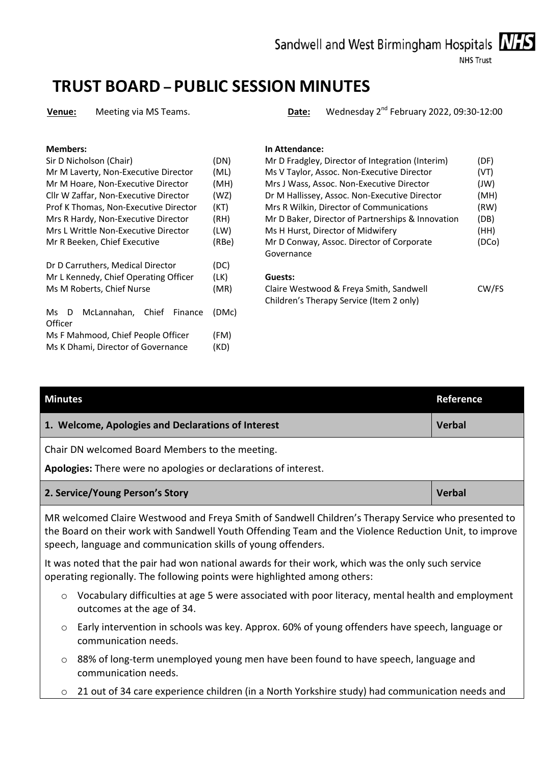Sandwell and West Birmingham Hospitals NHS

#### **NHS Trust**

# **TRUST BOARD – PUBLIC SESSION MINUTES**

**Venue:** Meeting via MS Teams. **Date:** Wednesday 2nd February 2022, 09:30-12:00

| Sir D Nicholson (Chair)               | (DN)  | Mr D Fradgley, Director of Integration (Inter |
|---------------------------------------|-------|-----------------------------------------------|
| Mr M Laverty, Non-Executive Director  | (ML)  | Ms V Taylor, Assoc. Non-Executive Director    |
| Mr M Hoare, Non-Executive Director    | (MH)  | Mrs J Wass, Assoc. Non-Executive Director     |
| Cllr W Zaffar, Non-Executive Director | (WZ)  | Dr M Hallissey, Assoc. Non-Executive Direct   |
| Prof K Thomas, Non-Executive Director | (KT)  | Mrs R Wilkin, Director of Communications      |
| Mrs R Hardy, Non-Executive Director   | (RH)  | Mr D Baker, Director of Partnerships & Inno   |
| Mrs L Writtle Non-Executive Director  | (LW)  | Ms H Hurst, Director of Midwifery             |
| Mr R Beeken, Chief Executive          | (RBe) | Mr D Conway, Assoc. Director of Corporate     |
|                                       |       | Governance                                    |
| Dr D Carruthers, Medical Director     | (DC)  |                                               |
| Mr L Kennedy, Chief Operating Officer | (LK)  | Guests:                                       |
| Ms M Roberts, Chief Nurse             | (MR)  | Claire Westwood & Freya Smith, Sandwell       |
|                                       |       | Children's Therapy Service (Item 2 only)      |
| McLannahan, Chief<br>Finance<br>Ms D  | (DMc) |                                               |
| Officer                               |       |                                               |
| Ms F Mahmood, Chief People Officer    | (FM)  |                                               |
| Ms K Dhami, Director of Governance    | (KD)  |                                               |

#### **Members: In Attendance:**

| Sir D Nicholson (Chair)               | (DN)  | Mr D Fradgley, Director of Integration (Interim)  | (DF)  |
|---------------------------------------|-------|---------------------------------------------------|-------|
| Mr M Laverty, Non-Executive Director  | (ML)  | Ms V Taylor, Assoc. Non-Executive Director        | (VT)  |
| Mr M Hoare, Non-Executive Director    | (MH)  | Mrs J Wass, Assoc. Non-Executive Director         | (JW)  |
| Cllr W Zaffar, Non-Executive Director | (WZ)  | Dr M Hallissey, Assoc. Non-Executive Director     | (MH)  |
| Prof K Thomas, Non-Executive Director | (KT)  | Mrs R Wilkin, Director of Communications          | (RW)  |
| Mrs R Hardy, Non-Executive Director   | (RH)  | Mr D Baker, Director of Partnerships & Innovation | (DB)  |
| Mrs L Writtle Non-Executive Director  | (LW)  | Ms H Hurst, Director of Midwifery                 | (HH)  |
| Mr R Beeken, Chief Executive          | (RBe) | Mr D Conway, Assoc. Director of Corporate         | (DCo) |
|                                       |       | Governance                                        |       |
| Dr D Carruthers, Medical Director     | (DC)  |                                                   |       |

#### Guests:

Claire Westwood & Freya Smith, Sandwell Children's Therapy Service (Item 2 only) CW/FS

| <b>Minutes</b>                                                                                                                                                                                                                                                                 |                                                                                                                                 | Reference     |
|--------------------------------------------------------------------------------------------------------------------------------------------------------------------------------------------------------------------------------------------------------------------------------|---------------------------------------------------------------------------------------------------------------------------------|---------------|
|                                                                                                                                                                                                                                                                                | 1. Welcome, Apologies and Declarations of Interest                                                                              | <b>Verbal</b> |
|                                                                                                                                                                                                                                                                                | Chair DN welcomed Board Members to the meeting.<br>Apologies: There were no apologies or declarations of interest.              |               |
|                                                                                                                                                                                                                                                                                | 2. Service/Young Person's Story                                                                                                 | <b>Verbal</b> |
| MR welcomed Claire Westwood and Freya Smith of Sandwell Children's Therapy Service who presented to<br>the Board on their work with Sandwell Youth Offending Team and the Violence Reduction Unit, to improve<br>speech, language and communication skills of young offenders. |                                                                                                                                 |               |
| It was noted that the pair had won national awards for their work, which was the only such service<br>operating regionally. The following points were highlighted among others:                                                                                                |                                                                                                                                 |               |
| $\circ$                                                                                                                                                                                                                                                                        | Vocabulary difficulties at age 5 were associated with poor literacy, mental health and employment<br>outcomes at the age of 34. |               |
| $\circ$                                                                                                                                                                                                                                                                        | Early intervention in schools was key. Approx. 60% of young offenders have speech, language or<br>communication needs.          |               |
| $\circ$                                                                                                                                                                                                                                                                        | 88% of long-term unemployed young men have been found to have speech, language and<br>communication needs.                      |               |
| $\circ$                                                                                                                                                                                                                                                                        | 21 out of 34 care experience children (in a North Yorkshire study) had communication needs and                                  |               |

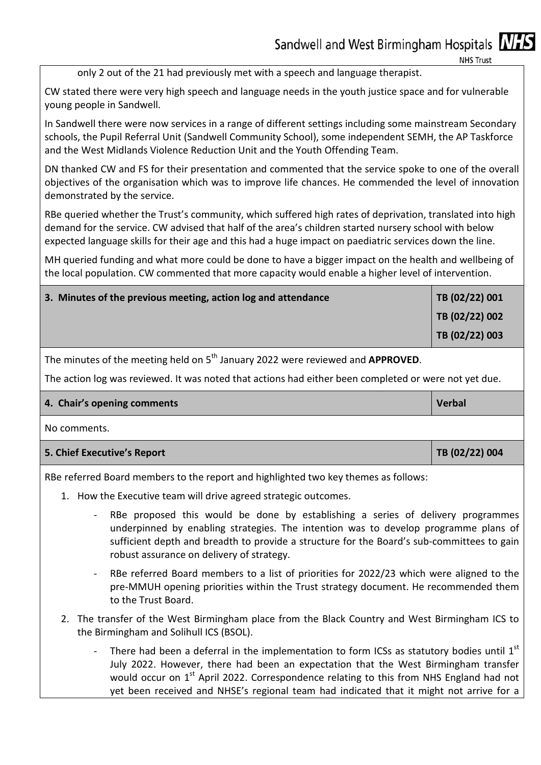only 2 out of the 21 had previously met with a speech and language therapist.

CW stated there were very high speech and language needs in the youth justice space and for vulnerable young people in Sandwell.

In Sandwell there were now services in a range of different settings including some mainstream Secondary schools, the Pupil Referral Unit (Sandwell Community School), some independent SEMH, the AP Taskforce and the West Midlands Violence Reduction Unit and the Youth Offending Team.

DN thanked CW and FS for their presentation and commented that the service spoke to one of the overall objectives of the organisation which was to improve life chances. He commended the level of innovation demonstrated by the service.

RBe queried whether the Trust's community, which suffered high rates of deprivation, translated into high demand for the service. CW advised that half of the area's children started nursery school with below expected language skills for their age and this had a huge impact on paediatric services down the line.

MH queried funding and what more could be done to have a bigger impact on the health and wellbeing of the local population. CW commented that more capacity would enable a higher level of intervention.

| $ $ TB (02/22) 002 |
|--------------------|
| TB (02/22) 003     |

The minutes of the meeting held on 5th January 2022 were reviewed and **APPROVED**.

The action log was reviewed. It was noted that actions had either been completed or were not yet due.

| 4. Chair's opening comments | Verbal |
|-----------------------------|--------|
|                             |        |

No comments.

| 5. Chief Executive's Report | TB(02/22)004 |
|-----------------------------|--------------|
|-----------------------------|--------------|

RBe referred Board members to the report and highlighted two key themes as follows:

- 1. How the Executive team will drive agreed strategic outcomes.
	- RBe proposed this would be done by establishing a series of delivery programmes underpinned by enabling strategies. The intention was to develop programme plans of sufficient depth and breadth to provide a structure for the Board's sub-committees to gain robust assurance on delivery of strategy.
	- RBe referred Board members to a list of priorities for 2022/23 which were aligned to the pre-MMUH opening priorities within the Trust strategy document. He recommended them to the Trust Board.
	- 2. The transfer of the West Birmingham place from the Black Country and West Birmingham ICS to the Birmingham and Solihull ICS (BSOL).
		- There had been a deferral in the implementation to form ICSs as statutory bodies until  $1<sup>st</sup>$ July 2022. However, there had been an expectation that the West Birmingham transfer would occur on 1<sup>st</sup> April 2022. Correspondence relating to this from NHS England had not yet been received and NHSE's regional team had indicated that it might not arrive for a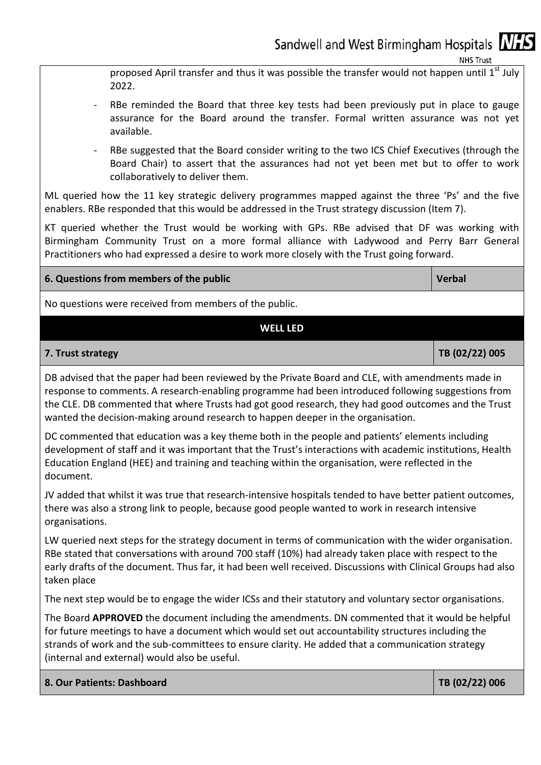proposed April transfer and thus it was possible the transfer would not happen until  $1<sup>st</sup>$  July 2022.

- RBe reminded the Board that three key tests had been previously put in place to gauge assurance for the Board around the transfer. Formal written assurance was not yet available.
- RBe suggested that the Board consider writing to the two ICS Chief Executives (through the Board Chair) to assert that the assurances had not yet been met but to offer to work collaboratively to deliver them.

ML queried how the 11 key strategic delivery programmes mapped against the three 'Ps' and the five enablers. RBe responded that this would be addressed in the Trust strategy discussion (Item 7).

KT queried whether the Trust would be working with GPs. RBe advised that DF was working with Birmingham Community Trust on a more formal alliance with Ladywood and Perry Barr General Practitioners who had expressed a desire to work more closely with the Trust going forward.

### **6. Questions from members of the public Contract Contract Contract Contract Contract Contract Contract Contract Contract Contract Contract Contract Contract Contract Contract Contract Contract Contract Contract Contract C**

No questions were received from members of the public.

#### **WELL LED**

#### **7. Trust strategy TB (02/22) 005**

DB advised that the paper had been reviewed by the Private Board and CLE, with amendments made in response to comments. A research-enabling programme had been introduced following suggestions from the CLE. DB commented that where Trusts had got good research, they had good outcomes and the Trust wanted the decision-making around research to happen deeper in the organisation.

DC commented that education was a key theme both in the people and patients' elements including development of staff and it was important that the Trust's interactions with academic institutions, Health Education England (HEE) and training and teaching within the organisation, were reflected in the document.

JV added that whilst it was true that research-intensive hospitals tended to have better patient outcomes, there was also a strong link to people, because good people wanted to work in research intensive organisations.

LW queried next steps for the strategy document in terms of communication with the wider organisation. RBe stated that conversations with around 700 staff (10%) had already taken place with respect to the early drafts of the document. Thus far, it had been well received. Discussions with Clinical Groups had also taken place

The next step would be to engage the wider ICSs and their statutory and voluntary sector organisations.

The Board **APPROVED** the document including the amendments. DN commented that it would be helpful for future meetings to have a document which would set out accountability structures including the strands of work and the sub-committees to ensure clarity. He added that a communication strategy (internal and external) would also be useful.

|  |  |  | 8. Our Patients: Dashboard |
|--|--|--|----------------------------|
|--|--|--|----------------------------|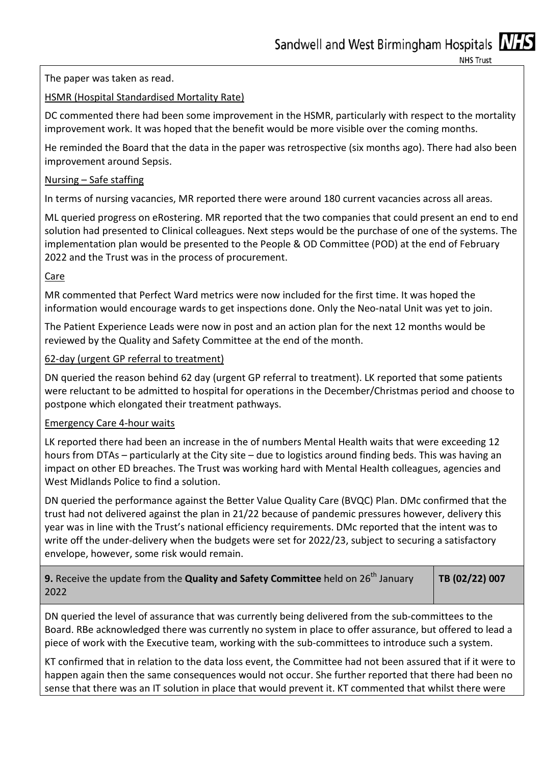The paper was taken as read.

# HSMR (Hospital Standardised Mortality Rate)

DC commented there had been some improvement in the HSMR, particularly with respect to the mortality improvement work. It was hoped that the benefit would be more visible over the coming months.

He reminded the Board that the data in the paper was retrospective (six months ago). There had also been improvement around Sepsis.

# Nursing – Safe staffing

In terms of nursing vacancies, MR reported there were around 180 current vacancies across all areas.

ML queried progress on eRostering. MR reported that the two companies that could present an end to end solution had presented to Clinical colleagues. Next steps would be the purchase of one of the systems. The implementation plan would be presented to the People & OD Committee (POD) at the end of February 2022 and the Trust was in the process of procurement.

# Care

MR commented that Perfect Ward metrics were now included for the first time. It was hoped the information would encourage wards to get inspections done. Only the Neo-natal Unit was yet to join.

The Patient Experience Leads were now in post and an action plan for the next 12 months would be reviewed by the Quality and Safety Committee at the end of the month.

# 62-day (urgent GP referral to treatment)

DN queried the reason behind 62 day (urgent GP referral to treatment). LK reported that some patients were reluctant to be admitted to hospital for operations in the December/Christmas period and choose to postpone which elongated their treatment pathways.

### Emergency Care 4-hour waits

LK reported there had been an increase in the of numbers Mental Health waits that were exceeding 12 hours from DTAs – particularly at the City site – due to logistics around finding beds. This was having an impact on other ED breaches. The Trust was working hard with Mental Health colleagues, agencies and West Midlands Police to find a solution.

DN queried the performance against the Better Value Quality Care (BVQC) Plan. DMc confirmed that the trust had not delivered against the plan in 21/22 because of pandemic pressures however, delivery this year was in line with the Trust's national efficiency requirements. DMc reported that the intent was to write off the under-delivery when the budgets were set for 2022/23, subject to securing a satisfactory envelope, however, some risk would remain.

| 9. Receive the update from the Quality and Safety Committee held on 26 <sup>th</sup> January | TB (02/22) 007 |
|----------------------------------------------------------------------------------------------|----------------|
| 2022                                                                                         |                |

DN queried the level of assurance that was currently being delivered from the sub-committees to the Board. RBe acknowledged there was currently no system in place to offer assurance, but offered to lead a piece of work with the Executive team, working with the sub-committees to introduce such a system.

KT confirmed that in relation to the data loss event, the Committee had not been assured that if it were to happen again then the same consequences would not occur. She further reported that there had been no sense that there was an IT solution in place that would prevent it. KT commented that whilst there were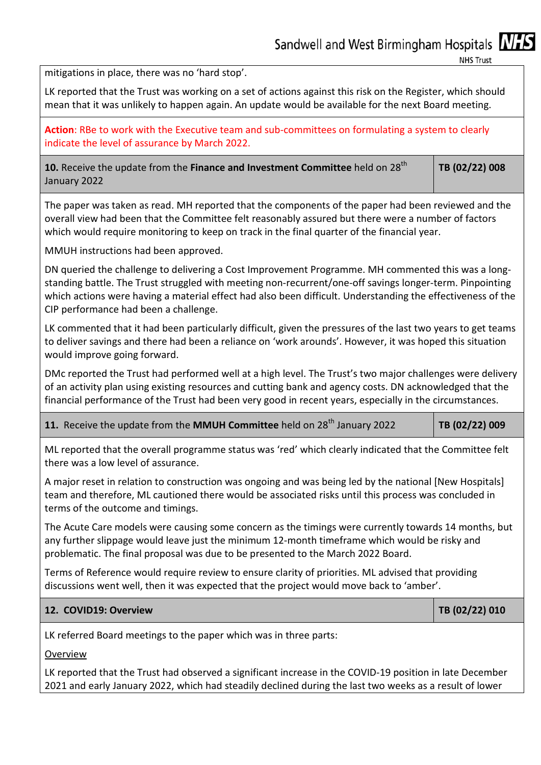mitigations in place, there was no 'hard stop'.

LK reported that the Trust was working on a set of actions against this risk on the Register, which should mean that it was unlikely to happen again. An update would be available for the next Board meeting.

**Action**: RBe to work with the Executive team and sub-committees on formulating a system to clearly indicate the level of assurance by March 2022.

10. Receive the update from the Finance and Investment Committee held on 28<sup>th</sup> January 2022 **TB (02/22) 008** 

The paper was taken as read. MH reported that the components of the paper had been reviewed and the overall view had been that the Committee felt reasonably assured but there were a number of factors which would require monitoring to keep on track in the final quarter of the financial year.

MMUH instructions had been approved.

DN queried the challenge to delivering a Cost Improvement Programme. MH commented this was a longstanding battle. The Trust struggled with meeting non-recurrent/one-off savings longer-term. Pinpointing which actions were having a material effect had also been difficult. Understanding the effectiveness of the CIP performance had been a challenge.

LK commented that it had been particularly difficult, given the pressures of the last two years to get teams to deliver savings and there had been a reliance on 'work arounds'. However, it was hoped this situation would improve going forward.

DMc reported the Trust had performed well at a high level. The Trust's two major challenges were delivery of an activity plan using existing resources and cutting bank and agency costs. DN acknowledged that the financial performance of the Trust had been very good in recent years, especially in the circumstances.

| 11. Receive the update from the MMUH Committee held on 28 <sup>th</sup> January 2022 |  | $ $ TB (02/22) 009 |
|--------------------------------------------------------------------------------------|--|--------------------|
|--------------------------------------------------------------------------------------|--|--------------------|

ML reported that the overall programme status was 'red' which clearly indicated that the Committee felt there was a low level of assurance.

A major reset in relation to construction was ongoing and was being led by the national [New Hospitals] team and therefore, ML cautioned there would be associated risks until this process was concluded in terms of the outcome and timings.

The Acute Care models were causing some concern as the timings were currently towards 14 months, but any further slippage would leave just the minimum 12-month timeframe which would be risky and problematic. The final proposal was due to be presented to the March 2022 Board.

Terms of Reference would require review to ensure clarity of priorities. ML advised that providing discussions went well, then it was expected that the project would move back to 'amber'.

### **12. COVID19: Overview TB (02/22) 010**

LK referred Board meetings to the paper which was in three parts:

### Overview

LK reported that the Trust had observed a significant increase in the COVID-19 position in late December 2021 and early January 2022, which had steadily declined during the last two weeks as a result of lower

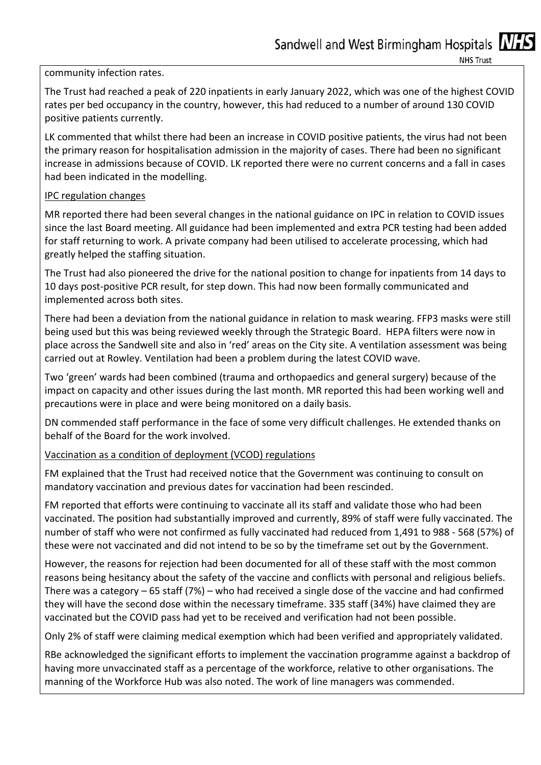#### community infection rates.

The Trust had reached a peak of 220 inpatients in early January 2022, which was one of the highest COVID rates per bed occupancy in the country, however, this had reduced to a number of around 130 COVID positive patients currently.

LK commented that whilst there had been an increase in COVID positive patients, the virus had not been the primary reason for hospitalisation admission in the majority of cases. There had been no significant increase in admissions because of COVID. LK reported there were no current concerns and a fall in cases had been indicated in the modelling.

### IPC regulation changes

MR reported there had been several changes in the national guidance on IPC in relation to COVID issues since the last Board meeting. All guidance had been implemented and extra PCR testing had been added for staff returning to work. A private company had been utilised to accelerate processing, which had greatly helped the staffing situation.

The Trust had also pioneered the drive for the national position to change for inpatients from 14 days to 10 days post-positive PCR result, for step down. This had now been formally communicated and implemented across both sites.

There had been a deviation from the national guidance in relation to mask wearing. FFP3 masks were still being used but this was being reviewed weekly through the Strategic Board. HEPA filters were now in place across the Sandwell site and also in 'red' areas on the City site. A ventilation assessment was being carried out at Rowley. Ventilation had been a problem during the latest COVID wave.

Two 'green' wards had been combined (trauma and orthopaedics and general surgery) because of the impact on capacity and other issues during the last month. MR reported this had been working well and precautions were in place and were being monitored on a daily basis.

DN commended staff performance in the face of some very difficult challenges. He extended thanks on behalf of the Board for the work involved.

### Vaccination as a condition of deployment (VCOD) regulations

FM explained that the Trust had received notice that the Government was continuing to consult on mandatory vaccination and previous dates for vaccination had been rescinded.

FM reported that efforts were continuing to vaccinate all its staff and validate those who had been vaccinated. The position had substantially improved and currently, 89% of staff were fully vaccinated. The number of staff who were not confirmed as fully vaccinated had reduced from 1,491 to 988 - 568 (57%) of these were not vaccinated and did not intend to be so by the timeframe set out by the Government.

However, the reasons for rejection had been documented for all of these staff with the most common reasons being hesitancy about the safety of the vaccine and conflicts with personal and religious beliefs. There was a category – 65 staff (7%) – who had received a single dose of the vaccine and had confirmed they will have the second dose within the necessary timeframe. 335 staff (34%) have claimed they are vaccinated but the COVID pass had yet to be received and verification had not been possible.

Only 2% of staff were claiming medical exemption which had been verified and appropriately validated.

RBe acknowledged the significant efforts to implement the vaccination programme against a backdrop of having more unvaccinated staff as a percentage of the workforce, relative to other organisations. The manning of the Workforce Hub was also noted. The work of line managers was commended.

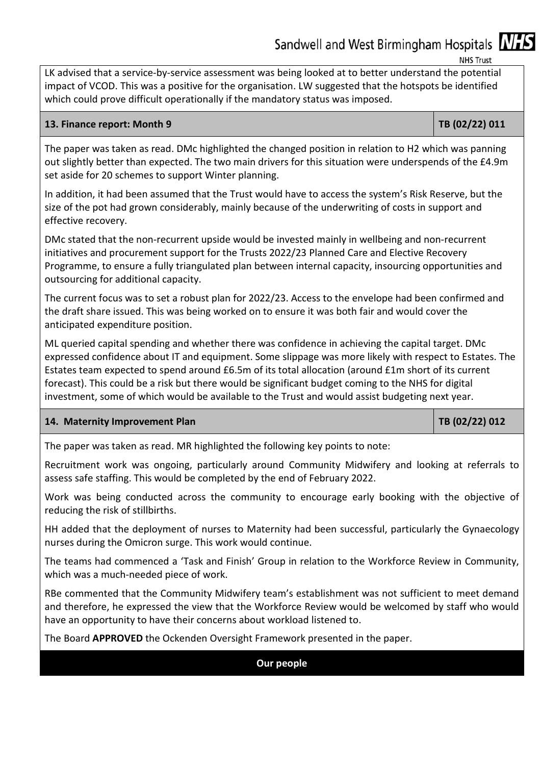Sandwell and West Birmingham Hospitals MHS

**NHS Trust** 

LK advised that a service-by-service assessment was being looked at to better understand the potential impact of VCOD. This was a positive for the organisation. LW suggested that the hotspots be identified which could prove difficult operationally if the mandatory status was imposed.

#### **13. Finance report: Month 9 TB (02/22) 011**

The paper was taken as read. DMc highlighted the changed position in relation to H2 which was panning out slightly better than expected. The two main drivers for this situation were underspends of the £4.9m set aside for 20 schemes to support Winter planning.

In addition, it had been assumed that the Trust would have to access the system's Risk Reserve, but the size of the pot had grown considerably, mainly because of the underwriting of costs in support and effective recovery.

DMc stated that the non-recurrent upside would be invested mainly in wellbeing and non-recurrent initiatives and procurement support for the Trusts 2022/23 Planned Care and Elective Recovery Programme, to ensure a fully triangulated plan between internal capacity, insourcing opportunities and outsourcing for additional capacity.

The current focus was to set a robust plan for 2022/23. Access to the envelope had been confirmed and the draft share issued. This was being worked on to ensure it was both fair and would cover the anticipated expenditure position.

ML queried capital spending and whether there was confidence in achieving the capital target. DMc expressed confidence about IT and equipment. Some slippage was more likely with respect to Estates. The Estates team expected to spend around £6.5m of its total allocation (around £1m short of its current forecast). This could be a risk but there would be significant budget coming to the NHS for digital investment, some of which would be available to the Trust and would assist budgeting next year.

### **14. Maternity Improvement Plan TB (02/22) 012**

The paper was taken as read. MR highlighted the following key points to note:

Recruitment work was ongoing, particularly around Community Midwifery and looking at referrals to assess safe staffing. This would be completed by the end of February 2022.

Work was being conducted across the community to encourage early booking with the objective of reducing the risk of stillbirths.

HH added that the deployment of nurses to Maternity had been successful, particularly the Gynaecology nurses during the Omicron surge. This work would continue.

The teams had commenced a 'Task and Finish' Group in relation to the Workforce Review in Community, which was a much-needed piece of work.

RBe commented that the Community Midwifery team's establishment was not sufficient to meet demand and therefore, he expressed the view that the Workforce Review would be welcomed by staff who would have an opportunity to have their concerns about workload listened to.

The Board **APPROVED** the Ockenden Oversight Framework presented in the paper.

# **Our people**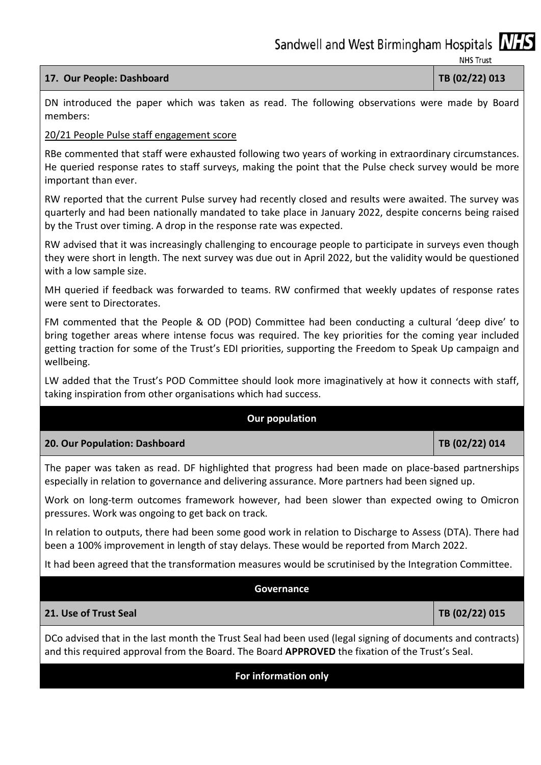# **17. Our People: Dashboard TB (02/22) 013**

DN introduced the paper which was taken as read. The following observations were made by Board members:

# 20/21 People Pulse staff engagement score

RBe commented that staff were exhausted following two years of working in extraordinary circumstances. He queried response rates to staff surveys, making the point that the Pulse check survey would be more important than ever.

RW reported that the current Pulse survey had recently closed and results were awaited. The survey was quarterly and had been nationally mandated to take place in January 2022, despite concerns being raised by the Trust over timing. A drop in the response rate was expected.

RW advised that it was increasingly challenging to encourage people to participate in surveys even though they were short in length. The next survey was due out in April 2022, but the validity would be questioned with a low sample size.

MH queried if feedback was forwarded to teams. RW confirmed that weekly updates of response rates were sent to Directorates.

FM commented that the People & OD (POD) Committee had been conducting a cultural 'deep dive' to bring together areas where intense focus was required. The key priorities for the coming year included getting traction for some of the Trust's EDI priorities, supporting the Freedom to Speak Up campaign and wellbeing.

LW added that the Trust's POD Committee should look more imaginatively at how it connects with staff, taking inspiration from other organisations which had success.

# **Our population**

**20. Our Population: Dashboard TB (02/22) 014** 

The paper was taken as read. DF highlighted that progress had been made on place-based partnerships especially in relation to governance and delivering assurance. More partners had been signed up.

Work on long-term outcomes framework however, had been slower than expected owing to Omicron pressures. Work was ongoing to get back on track.

In relation to outputs, there had been some good work in relation to Discharge to Assess (DTA). There had been a 100% improvement in length of stay delays. These would be reported from March 2022.

It had been agreed that the transformation measures would be scrutinised by the Integration Committee.

**Governance** 

### **21. Use of Trust Seal TB (02/22) 015**

DCo advised that in the last month the Trust Seal had been used (legal signing of documents and contracts) and this required approval from the Board. The Board **APPROVED** the fixation of the Trust's Seal.

# **For information only**